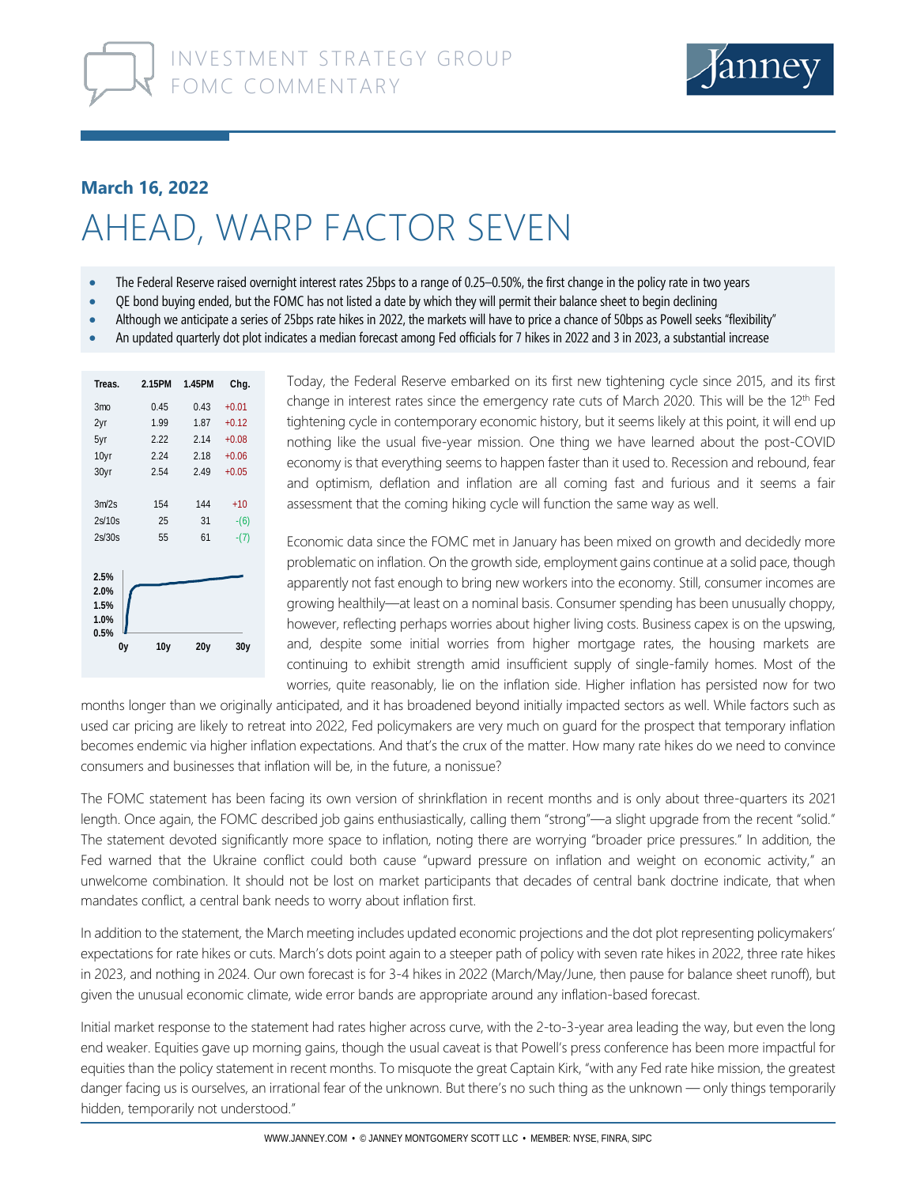

## **March 16, 2022**

## AHEAD, WARP FACTOR SEVEN

- The Federal Reserve raised overnight interest rates 25bps to a range of 0.25–0.50%, the first change in the policy rate in two years
- QE bond buying ended, but the FOMC has not listed a date by which they will permit their balance sheet to begin declining
- Although we anticipate a series of 25bps rate hikes in 2022, the markets will have to price a chance of 50bps as Powell seeks "flexibility"
- An updated quarterly dot plot indicates a median forecast among Fed officials for 7 hikes in 2022 and 3 in 2023, a substantial increase

| Treas.          | 2.15PM          | 1.45PM | Chg.    |  |  |
|-----------------|-----------------|--------|---------|--|--|
| 3 <sub>mo</sub> | 0.45            | 0.43   | $+0.01$ |  |  |
| 2yr             | 1.99            | 1.87   | $+0.12$ |  |  |
| 5yr             | 2.22            | 2.14   | $+0.08$ |  |  |
| 10yr            | 2.24            | 2.18   | $+0.06$ |  |  |
| 30yr            | 2.54            | 2.49   | $+0.05$ |  |  |
|                 |                 |        |         |  |  |
| 3m/2s           | 154             | 144    | $+10$   |  |  |
| 2s/10s          | 25              | 31     | $-(6)$  |  |  |
| 2s/30s          | 55              | 61     | $-(7)$  |  |  |
|                 |                 |        |         |  |  |
| 2.5%            |                 |        |         |  |  |
| 2.0%            |                 |        |         |  |  |
| 1.5%            |                 |        |         |  |  |
| 1.0%            |                 |        |         |  |  |
| 0.5%            |                 |        |         |  |  |
| 0y              | 10 <sub>y</sub> | 20y    | 30y     |  |  |
|                 |                 |        |         |  |  |

Today, the Federal Reserve embarked on its first new tightening cycle since 2015, and its first change in interest rates since the emergency rate cuts of March 2020. This will be the 12<sup>th</sup> Fed tightening cycle in contemporary economic history, but it seems likely at this point, it will end up nothing like the usual five-year mission. One thing we have learned about the post-COVID economy is that everything seems to happen faster than it used to. Recession and rebound, fear and optimism, deflation and inflation are all coming fast and furious and it seems a fair assessment that the coming hiking cycle will function the same way as well.

Economic data since the FOMC met in January has been mixed on growth and decidedly more problematic on inflation. On the growth side, employment gains continue at a solid pace, though apparently not fast enough to bring new workers into the economy. Still, consumer incomes are growing healthily—at least on a nominal basis. Consumer spending has been unusually choppy, however, reflecting perhaps worries about higher living costs. Business capex is on the upswing, and, despite some initial worries from higher mortgage rates, the housing markets are continuing to exhibit strength amid insufficient supply of single-family homes. Most of the worries, quite reasonably, lie on the inflation side. Higher inflation has persisted now for two

months longer than we originally anticipated, and it has broadened beyond initially impacted sectors as well. While factors such as used car pricing are likely to retreat into 2022, Fed policymakers are very much on guard for the prospect that temporary inflation becomes endemic via higher inflation expectations. And that's the crux of the matter. How many rate hikes do we need to convince consumers and businesses that inflation will be, in the future, a nonissue?

The FOMC statement has been facing its own version of shrinkflation in recent months and is only about three-quarters its 2021 length. Once again, the FOMC described job gains enthusiastically, calling them "strong"—a slight upgrade from the recent "solid." The statement devoted significantly more space to inflation, noting there are worrying "broader price pressures." In addition, the Fed warned that the Ukraine conflict could both cause "upward pressure on inflation and weight on economic activity," an unwelcome combination. It should not be lost on market participants that decades of central bank doctrine indicate, that when mandates conflict, a central bank needs to worry about inflation first.

In addition to the statement, the March meeting includes updated economic projections and the dot plot representing policymakers' expectations for rate hikes or cuts. March's dots point again to a steeper path of policy with seven rate hikes in 2022, three rate hikes in 2023, and nothing in 2024. Our own forecast is for 3-4 hikes in 2022 (March/May/June, then pause for balance sheet runoff), but given the unusual economic climate, wide error bands are appropriate around any inflation-based forecast.

Initial market response to the statement had rates higher across curve, with the 2-to-3-year area leading the way, but even the long end weaker. Equities gave up morning gains, though the usual caveat is that Powell's press conference has been more impactful for equities than the policy statement in recent months. To misquote the great Captain Kirk, "with any Fed rate hike mission, the greatest danger facing us is ourselves, an irrational fear of the unknown. But there's no such thing as the unknown — only things temporarily hidden, temporarily not understood."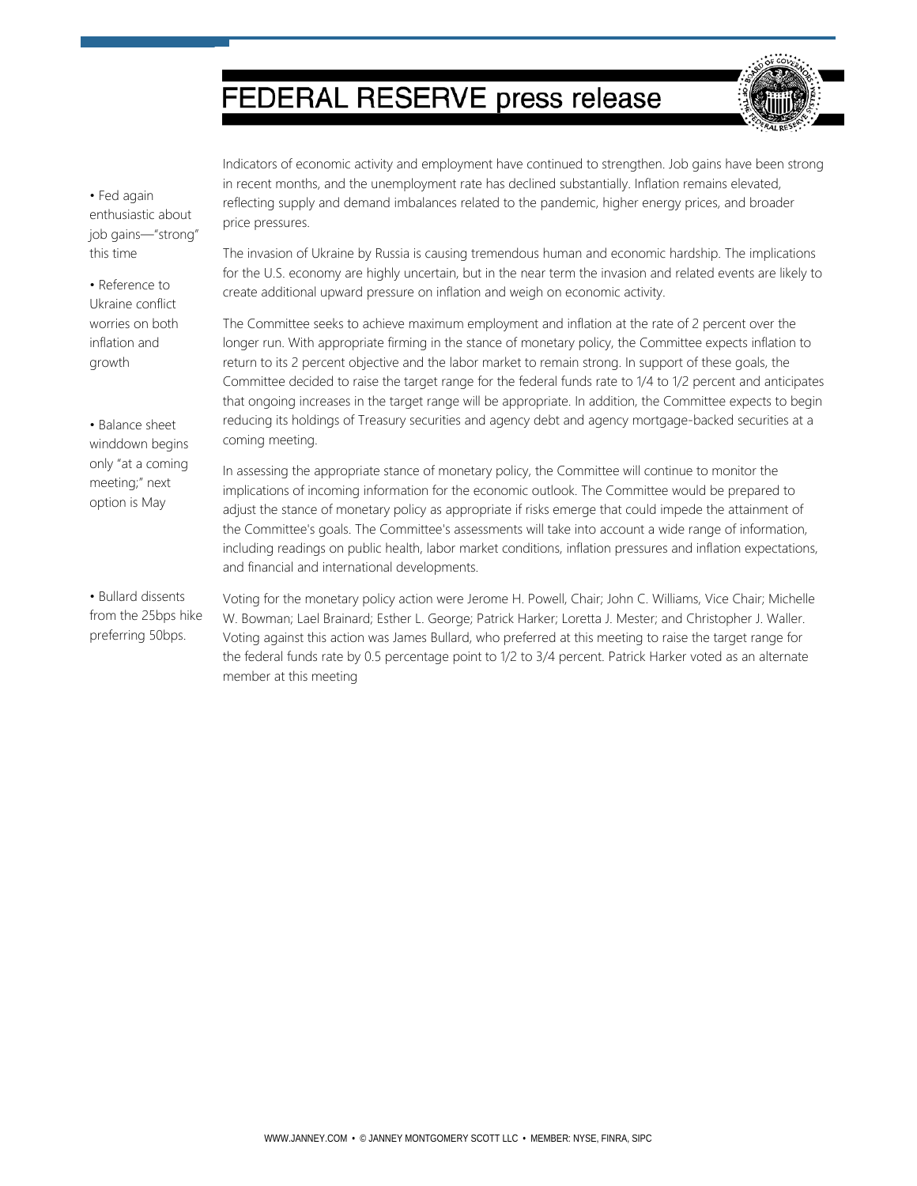## **FEDERAL RESERVE press release**



• Fed again enthusiastic about job gains—"strong" this time

• Reference to Ukraine conflict worries on both inflation and growth

• Balance sheet winddown begins only "at a coming meeting;" next option is May

• Bullard dissents from the 25bps hike preferring 50bps.

Indicators of economic activity and employment have continued to strengthen. Job gains have been strong in recent months, and the unemployment rate has declined substantially. Inflation remains elevated, reflecting supply and demand imbalances related to the pandemic, higher energy prices, and broader price pressures.

The invasion of Ukraine by Russia is causing tremendous human and economic hardship. The implications for the U.S. economy are highly uncertain, but in the near term the invasion and related events are likely to create additional upward pressure on inflation and weigh on economic activity.

The Committee seeks to achieve maximum employment and inflation at the rate of 2 percent over the longer run. With appropriate firming in the stance of monetary policy, the Committee expects inflation to return to its 2 percent objective and the labor market to remain strong. In support of these goals, the Committee decided to raise the target range for the federal funds rate to 1/4 to 1/2 percent and anticipates that ongoing increases in the target range will be appropriate. In addition, the Committee expects to begin reducing its holdings of Treasury securities and agency debt and agency mortgage-backed securities at a coming meeting.

In assessing the appropriate stance of monetary policy, the Committee will continue to monitor the implications of incoming information for the economic outlook. The Committee would be prepared to adjust the stance of monetary policy as appropriate if risks emerge that could impede the attainment of the Committee's goals. The Committee's assessments will take into account a wide range of information, including readings on public health, labor market conditions, inflation pressures and inflation expectations, and financial and international developments.

Voting for the monetary policy action were Jerome H. Powell, Chair; John C. Williams, Vice Chair; Michelle W. Bowman; Lael Brainard; Esther L. George; Patrick Harker; Loretta J. Mester; and Christopher J. Waller. Voting against this action was James Bullard, who preferred at this meeting to raise the target range for the federal funds rate by 0.5 percentage point to 1/2 to 3/4 percent. Patrick Harker voted as an alternate member at this meeting